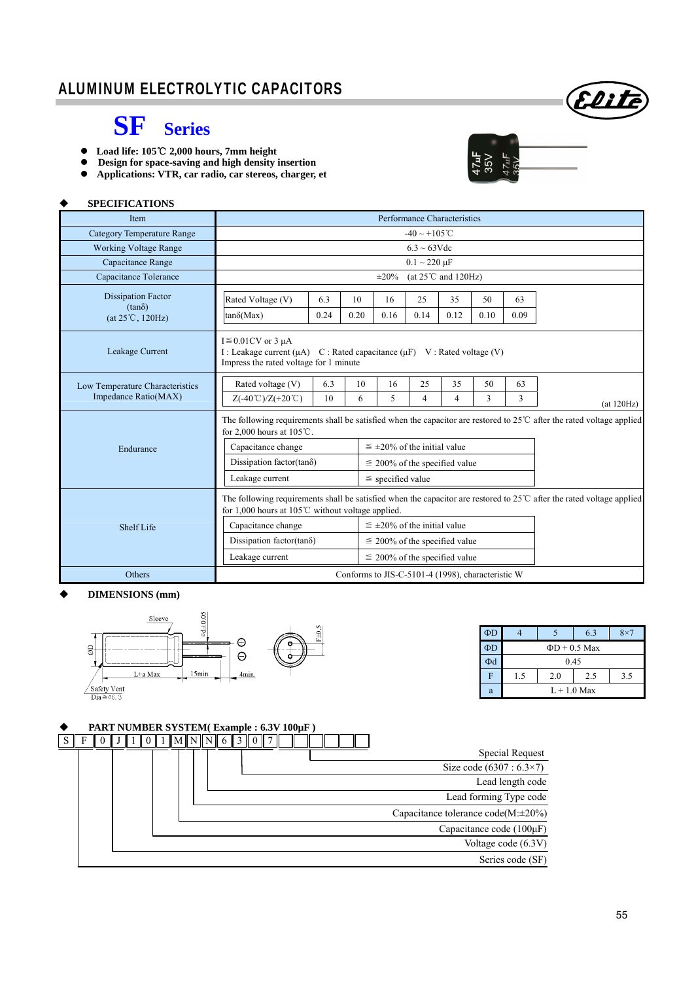### ALUMINUM ELECTROLYTIC CAPACITORS



## **SF Series**

- **■** Load life: 105℃ 2,000 hours, 7mm height
- **Design for space-saving and high density insertion**
- **Applications: VTR, car radio, car stereos, charger, et**



#### **SPECIFICATIONS**

| Item                                                           | Performance Characteristics                                                                                                                                                                  |             |            |                                      |                                         |            |            |            |            |
|----------------------------------------------------------------|----------------------------------------------------------------------------------------------------------------------------------------------------------------------------------------------|-------------|------------|--------------------------------------|-----------------------------------------|------------|------------|------------|------------|
| <b>Category Temperature Range</b>                              | $-40 \sim +105$ °C                                                                                                                                                                           |             |            |                                      |                                         |            |            |            |            |
| <b>Working Voltage Range</b>                                   | $6.3 \sim 63 \text{V}$ de                                                                                                                                                                    |             |            |                                      |                                         |            |            |            |            |
| Capacitance Range                                              |                                                                                                                                                                                              |             |            |                                      | $0.1 \sim 220 \,\mu F$                  |            |            |            |            |
| Capacitance Tolerance                                          |                                                                                                                                                                                              |             |            | $\pm 20\%$                           | (at $25^{\circ}$ C and $120\text{Hz}$ ) |            |            |            |            |
| <b>Dissipation Factor</b><br>$(tan\delta)$<br>(at 25°C, 120Hz) | Rated Voltage (V)<br>$tan\delta(Max)$                                                                                                                                                        | 6.3<br>0.24 | 10<br>0.20 | 16<br>0.16                           | 25<br>0.14                              | 35<br>0.12 | 50<br>0.10 | 63<br>0.09 |            |
| Leakage Current                                                | $I \leq 0.01$ CV or 3 µA<br>I : Leakage current ( $\mu$ A) C : Rated capacitance ( $\mu$ F) V : Rated voltage (V)<br>Impress the rated voltage for 1 minute                                  |             |            |                                      |                                         |            |            |            |            |
| Low Temperature Characteristics<br>Impedance Ratio(MAX)        | Rated voltage (V)<br>$Z(-40^{\circ}\text{C})/Z(+20^{\circ}\text{C})$                                                                                                                         | 6.3<br>10   | 10<br>6    | 16<br>5                              | 25<br>$\overline{4}$                    | 35<br>4    | 50<br>3    | 63<br>3    | (at 120Hz) |
|                                                                | The following requirements shall be satisfied when the capacitor are restored to $25^{\circ}$ after the rated voltage applied<br>for 2,000 hours at $105^{\circ}$ C.                         |             |            |                                      |                                         |            |            |            |            |
| Endurance                                                      | Capacitance change                                                                                                                                                                           |             |            | $\leq \pm 20\%$ of the initial value |                                         |            |            |            |            |
|                                                                | Dissipation factor(tan $\delta$ )                                                                                                                                                            |             |            | $\leq$ 200% of the specified value   |                                         |            |            |            |            |
|                                                                | Leakage current<br>$\le$ specified value                                                                                                                                                     |             |            |                                      |                                         |            |            |            |            |
|                                                                | The following requirements shall be satisfied when the capacitor are restored to $25^{\circ}$ after the rated voltage applied<br>for 1,000 hours at 105 $\degree$ C without voltage applied. |             |            |                                      |                                         |            |            |            |            |
| Shelf Life                                                     | Capacitance change                                                                                                                                                                           |             |            | $\leq \pm 20\%$ of the initial value |                                         |            |            |            |            |
|                                                                | Dissipation factor(tan $\delta$ )                                                                                                                                                            |             |            | $\leq$ 200% of the specified value   |                                         |            |            |            |            |
|                                                                | Leakage current<br>$\leq$ 200% of the specified value                                                                                                                                        |             |            |                                      |                                         |            |            |            |            |
| Others                                                         | Conforms to JIS-C-5101-4 (1998), characteristic W                                                                                                                                            |             |            |                                      |                                         |            |            |            |            |

#### **DIMENSIONS (mm)**



| ΦD |                          |  | 6.3 | $8\times7$ |  |  |  |  |  |
|----|--------------------------|--|-----|------------|--|--|--|--|--|
| ΦD | $\Phi$ D + 0.5 Max       |  |     |            |  |  |  |  |  |
| Φd | 0.45                     |  |     |            |  |  |  |  |  |
| F  | 2.0<br>2.5<br>1.5<br>3.5 |  |     |            |  |  |  |  |  |
| a  | $L + 1.0$ Max            |  |     |            |  |  |  |  |  |

#### **PART NUMBER SYSTEM( Example : 6.3V 100µF )**